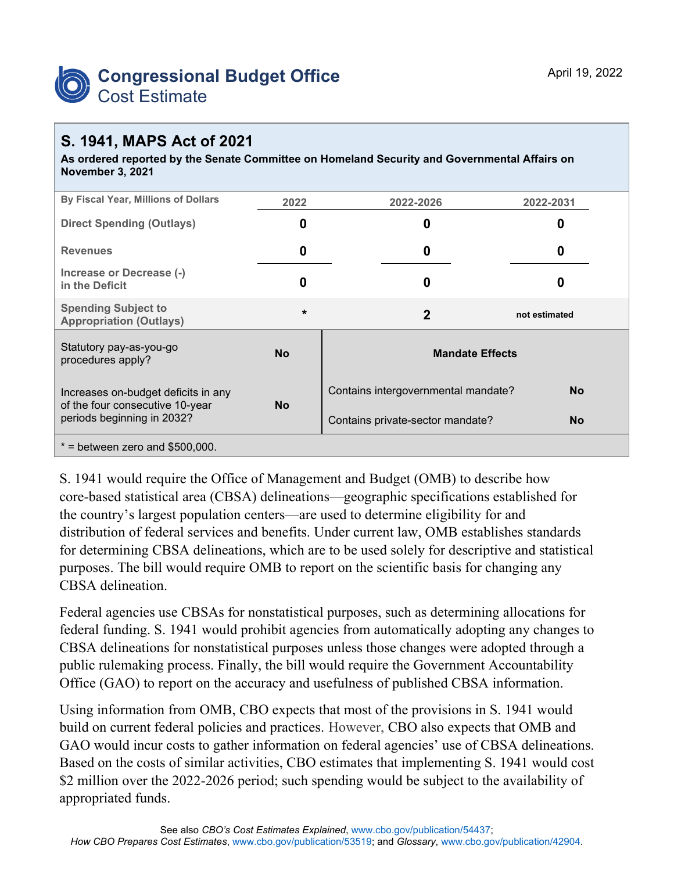

## **S. 1941, MAPS Act of 2021**

**As ordered reported by the Senate Committee on Homeland Security and Governmental Affairs on November 3, 2021**

| By Fiscal Year, Millions of Dollars                                                                  | 2022      | 2022-2026                           | 2022-2031     |
|------------------------------------------------------------------------------------------------------|-----------|-------------------------------------|---------------|
| <b>Direct Spending (Outlays)</b>                                                                     | 0         | 0                                   | O             |
| <b>Revenues</b>                                                                                      | 0         | 0                                   | O             |
| Increase or Decrease (-)<br>in the Deficit                                                           | 0         | 0                                   |               |
| <b>Spending Subject to</b><br><b>Appropriation (Outlays)</b>                                         | $\star$   | $\overline{2}$                      | not estimated |
| Statutory pay-as-you-go<br>procedures apply?                                                         | <b>No</b> | <b>Mandate Effects</b>              |               |
| Increases on-budget deficits in any<br>of the four consecutive 10-year<br>periods beginning in 2032? | <b>No</b> | Contains intergovernmental mandate? | No            |
|                                                                                                      |           | Contains private-sector mandate?    | <b>No</b>     |
| $*$ = between zero and \$500,000.                                                                    |           |                                     |               |

S. 1941 would require the Office of Management and Budget (OMB) to describe how core-based statistical area (CBSA) delineations—geographic specifications established for the country's largest population centers—are used to determine eligibility for and distribution of federal services and benefits. Under current law, OMB establishes standards for determining CBSA delineations, which are to be used solely for descriptive and statistical purposes. The bill would require OMB to report on the scientific basis for changing any CBSA delineation.

Federal agencies use CBSAs for nonstatistical purposes, such as determining allocations for federal funding. S. 1941 would prohibit agencies from automatically adopting any changes to CBSA delineations for nonstatistical purposes unless those changes were adopted through a public rulemaking process. Finally, the bill would require the Government Accountability Office (GAO) to report on the accuracy and usefulness of published CBSA information.

Using information from OMB, CBO expects that most of the provisions in S. 1941 would build on current federal policies and practices. However, CBO also expects that OMB and GAO would incur costs to gather information on federal agencies' use of CBSA delineations. Based on the costs of similar activities, CBO estimates that implementing S. 1941 would cost \$2 million over the 2022-2026 period; such spending would be subject to the availability of appropriated funds.